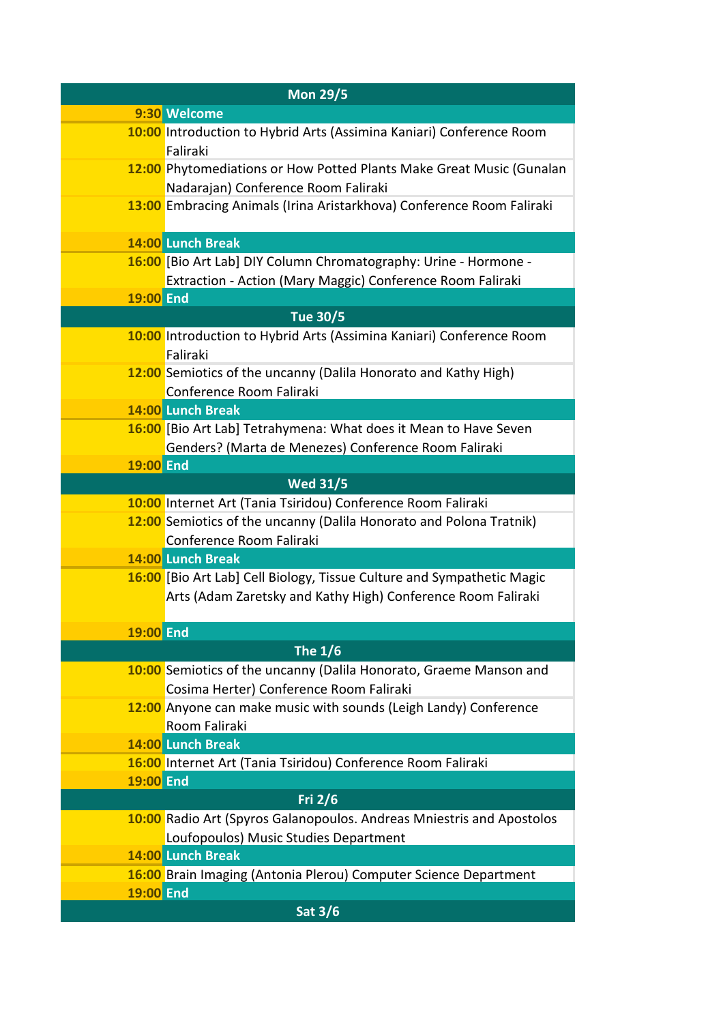| <b>Mon 29/5</b>  |                                                                                                                                        |  |
|------------------|----------------------------------------------------------------------------------------------------------------------------------------|--|
|                  | 9:30 Welcome                                                                                                                           |  |
|                  | 10:00 Introduction to Hybrid Arts (Assimina Kaniari) Conference Room<br>Faliraki                                                       |  |
|                  | 12:00 Phytomediations or How Potted Plants Make Great Music (Gunalan<br>Nadarajan) Conference Room Faliraki                            |  |
|                  | 13:00 Embracing Animals (Irina Aristarkhova) Conference Room Faliraki                                                                  |  |
|                  | 14:00 Lunch Break                                                                                                                      |  |
|                  | 16:00 [Bio Art Lab] DIY Column Chromatography: Urine - Hormone -<br>Extraction - Action (Mary Maggic) Conference Room Faliraki         |  |
| <b>19:00 End</b> |                                                                                                                                        |  |
|                  | <b>Tue 30/5</b>                                                                                                                        |  |
|                  | 10:00 Introduction to Hybrid Arts (Assimina Kaniari) Conference Room<br>Faliraki                                                       |  |
|                  | 12:00 Semiotics of the uncanny (Dalila Honorato and Kathy High)<br>Conference Room Faliraki                                            |  |
|                  | 14:00 Lunch Break                                                                                                                      |  |
|                  | 16:00 [Bio Art Lab] Tetrahymena: What does it Mean to Have Seven<br>Genders? (Marta de Menezes) Conference Room Faliraki               |  |
| 19:00 End        |                                                                                                                                        |  |
|                  | <b>Wed 31/5</b>                                                                                                                        |  |
|                  | 10:00 Internet Art (Tania Tsiridou) Conference Room Faliraki                                                                           |  |
|                  | 12:00 Semiotics of the uncanny (Dalila Honorato and Polona Tratnik)<br>Conference Room Faliraki                                        |  |
|                  | 14:00 Lunch Break                                                                                                                      |  |
|                  | 16:00 [Bio Art Lab] Cell Biology, Tissue Culture and Sympathetic Magic<br>Arts (Adam Zaretsky and Kathy High) Conference Room Faliraki |  |
| <b>19:00 End</b> |                                                                                                                                        |  |
|                  | <b>The 1/6</b>                                                                                                                         |  |
|                  | 10:00 Semiotics of the uncanny (Dalila Honorato, Graeme Manson and<br>Cosima Herter) Conference Room Faliraki                          |  |
|                  | 12:00 Anyone can make music with sounds (Leigh Landy) Conference<br>Room Faliraki                                                      |  |
|                  | 14:00 Lunch Break                                                                                                                      |  |
|                  | 16:00 Internet Art (Tania Tsiridou) Conference Room Faliraki                                                                           |  |
| <b>19:00 End</b> |                                                                                                                                        |  |
|                  | <b>Fri 2/6</b>                                                                                                                         |  |
|                  | 10:00 Radio Art (Spyros Galanopoulos. Andreas Mniestris and Apostolos                                                                  |  |
|                  | Loufopoulos) Music Studies Department                                                                                                  |  |
|                  | 14:00 Lunch Break                                                                                                                      |  |
|                  | 16:00 Brain Imaging (Antonia Plerou) Computer Science Department                                                                       |  |
| <b>19:00 End</b> |                                                                                                                                        |  |
|                  | <b>Sat 3/6</b>                                                                                                                         |  |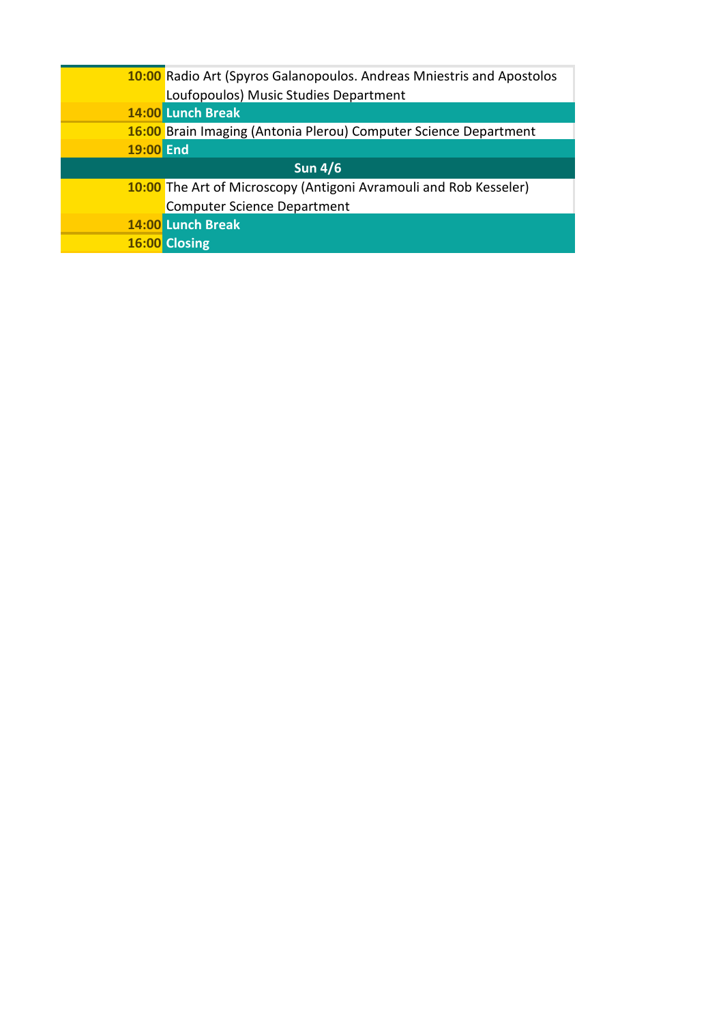|                | 10:00 Radio Art (Spyros Galanopoulos. Andreas Mniestris and Apostolos |  |
|----------------|-----------------------------------------------------------------------|--|
|                | Loufopoulos) Music Studies Department                                 |  |
|                | 14:00 Lunch Break                                                     |  |
|                | 16:00 Brain Imaging (Antonia Plerou) Computer Science Department      |  |
| 19:00 End      |                                                                       |  |
| <b>Sun 4/6</b> |                                                                       |  |
|                | 10:00 The Art of Microscopy (Antigoni Avramouli and Rob Kesseler)     |  |
|                | <b>Computer Science Department</b>                                    |  |
|                | 14:00 Lunch Break                                                     |  |
|                | 16:00 Closing                                                         |  |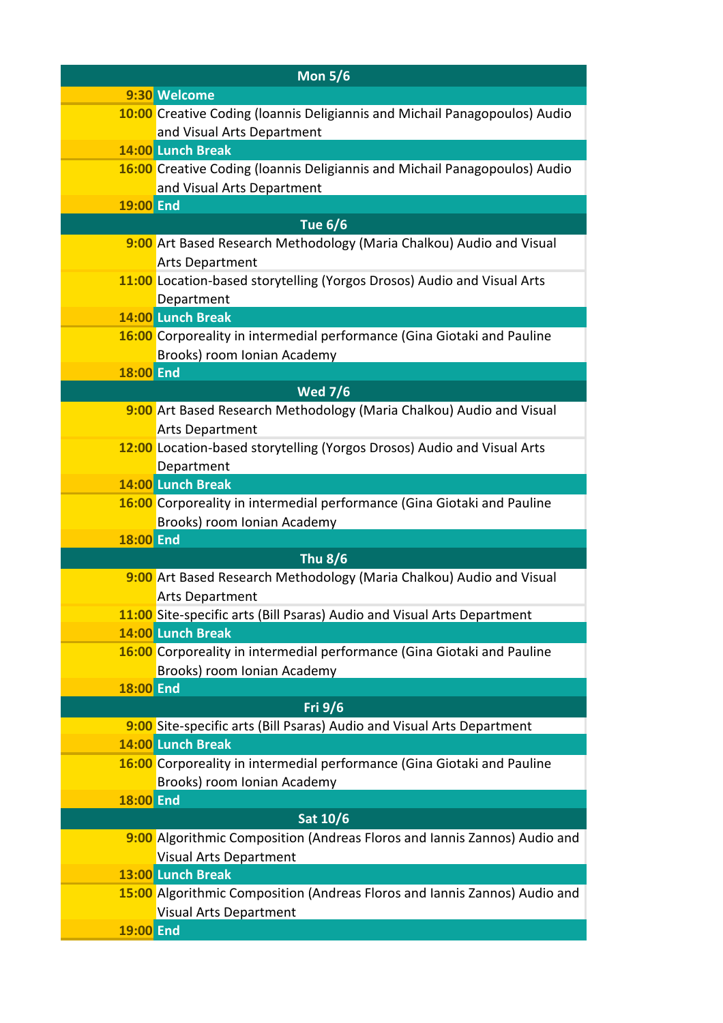| <b>Mon 5/6</b>   |                                                                            |
|------------------|----------------------------------------------------------------------------|
|                  | 9:30 Welcome                                                               |
|                  | 10:00 Creative Coding (Ioannis Deligiannis and Michail Panagopoulos) Audio |
|                  | and Visual Arts Department                                                 |
|                  | 14:00 Lunch Break                                                          |
|                  | 16:00 Creative Coding (Ioannis Deligiannis and Michail Panagopoulos) Audio |
|                  | and Visual Arts Department                                                 |
| <b>19:00 End</b> |                                                                            |
|                  | <b>Tue 6/6</b>                                                             |
|                  | 9:00 Art Based Research Methodology (Maria Chalkou) Audio and Visual       |
|                  | <b>Arts Department</b>                                                     |
|                  | 11:00 Location-based storytelling (Yorgos Drosos) Audio and Visual Arts    |
|                  | Department                                                                 |
|                  | 14:00 Lunch Break                                                          |
|                  | 16:00 Corporeality in intermedial performance (Gina Giotaki and Pauline    |
|                  | Brooks) room Ionian Academy                                                |
| <b>18:00 End</b> |                                                                            |
|                  | <b>Wed 7/6</b>                                                             |
|                  | 9:00 Art Based Research Methodology (Maria Chalkou) Audio and Visual       |
|                  | <b>Arts Department</b>                                                     |
|                  | 12:00 Location-based storytelling (Yorgos Drosos) Audio and Visual Arts    |
|                  | Department<br>14:00 Lunch Break                                            |
|                  | 16:00 Corporeality in intermedial performance (Gina Giotaki and Pauline    |
|                  | Brooks) room Ionian Academy                                                |
| <b>18:00 End</b> |                                                                            |
|                  | <b>Thu 8/6</b>                                                             |
|                  | 9:00 Art Based Research Methodology (Maria Chalkou) Audio and Visual       |
|                  | <b>Arts Department</b>                                                     |
|                  | 11:00 Site-specific arts (Bill Psaras) Audio and Visual Arts Department    |
|                  | 14:00 Lunch Break                                                          |
|                  | 16:00 Corporeality in intermedial performance (Gina Giotaki and Pauline    |
|                  | Brooks) room Ionian Academy                                                |
| <b>18:00 End</b> |                                                                            |
|                  | Fri 9/6                                                                    |
|                  | 9:00 Site-specific arts (Bill Psaras) Audio and Visual Arts Department     |
|                  | 14:00 Lunch Break                                                          |
|                  | 16:00 Corporeality in intermedial performance (Gina Giotaki and Pauline    |
|                  | Brooks) room Ionian Academy                                                |
| 18:00 End        |                                                                            |
|                  | Sat 10/6                                                                   |
|                  | 9:00 Algorithmic Composition (Andreas Floros and Iannis Zannos) Audio and  |
|                  | <b>Visual Arts Department</b>                                              |
|                  | 13:00 Lunch Break                                                          |
|                  | 15:00 Algorithmic Composition (Andreas Floros and Iannis Zannos) Audio and |
|                  | <b>Visual Arts Department</b>                                              |
| <b>19:00 End</b> |                                                                            |